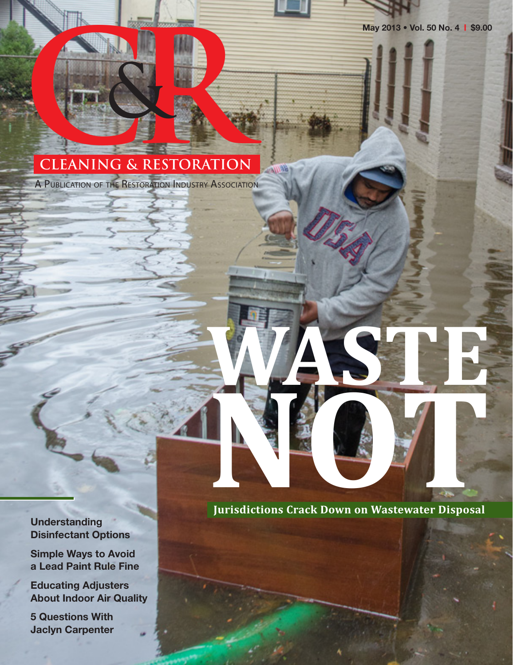**May 2013 • Vol. 50 No. 4** | **\$9.00**

# **CLEANING & R CLEANING & RESTORATION**

A PUBLICATION OF THE RESTORATION INDUSTRY ASSOCIATION

**Understanding Disinfectant Options** 

**Simple Ways to Avoid a Lead Paint Rule Fine**

**Educating Adjusters About Indoor Air Quality**

**5 Questions With Jaclyn Carpenter**

**Jurisdictions Crack Down on Wastewater Disposal** Jurisdictions Crack Down on Wastewater Disposal

**WASTE**

i Bill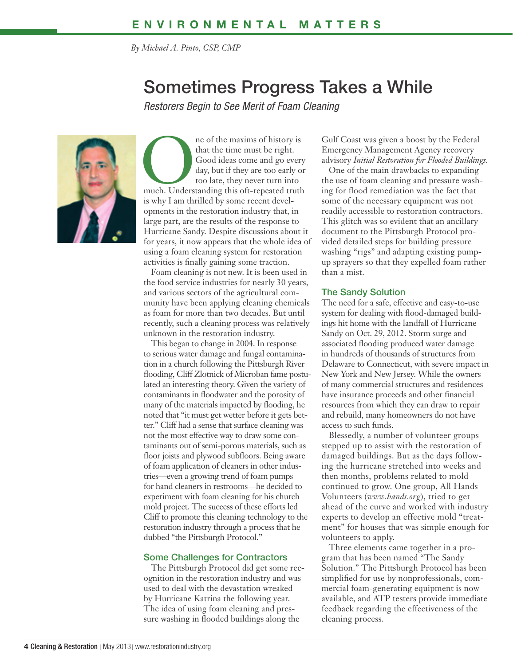*By Michael A. Pinto, CSP, CMP*

### Sometimes Progress Takes a While

*Restorers Begin to See Merit of Foam Cleaning*



ne of the maxims of history is<br>
that the time must be right.<br>
Good ideas come and go every<br>
day, but if they are too early or<br>
too late, they never turn into<br>
much. Understanding this oft-repeated truth that the time must be right. Good ideas come and go every day, but if they are too early or too late, they never turn into is why I am thrilled by some recent developments in the restoration industry that, in large part, are the results of the response to Hurricane Sandy. Despite discussions about it for years, it now appears that the whole idea of using a foam cleaning system for restoration activities is finally gaining some traction.

Foam cleaning is not new. It is been used in the food service industries for nearly 30 years, and various sectors of the agricultural community have been applying cleaning chemicals as foam for more than two decades. But until recently, such a cleaning process was relatively unknown in the restoration industry.

This began to change in 2004. In response to serious water damage and fungal contamination in a church following the Pittsburgh River flooding, Cliff Zlotnick of Microban fame postulated an interesting theory. Given the variety of contaminants in floodwater and the porosity of many of the materials impacted by flooding, he noted that "it must get wetter before it gets better." Cliff had a sense that surface cleaning was not the most effective way to draw some contaminants out of semi-porous materials, such as floor joists and plywood subfloors. Being aware of foam application of cleaners in other industries—even a growing trend of foam pumps for hand cleaners in restrooms—he decided to experiment with foam cleaning for his church mold project. The success of these efforts led Cliff to promote this cleaning technology to the restoration industry through a process that he dubbed "the Pittsburgh Protocol."

#### Some Challenges for Contractors

The Pittsburgh Protocol did get some recognition in the restoration industry and was used to deal with the devastation wreaked by Hurricane Katrina the following year. The idea of using foam cleaning and pressure washing in flooded buildings along the

Gulf Coast was given a boost by the Federal Emergency Management Agency recovery advisory *Initial Restoration for Flooded Buildings.*

One of the main drawbacks to expanding the use of foam cleaning and pressure washing for flood remediation was the fact that some of the necessary equipment was not readily accessible to restoration contractors. This glitch was so evident that an ancillary document to the Pittsburgh Protocol provided detailed steps for building pressure washing "rigs" and adapting existing pumpup sprayers so that they expelled foam rather than a mist.

#### The Sandy Solution

The need for a safe, effective and easy-to-use system for dealing with flood-damaged buildings hit home with the landfall of Hurricane Sandy on Oct. 29, 2012. Storm surge and associated flooding produced water damage in hundreds of thousands of structures from Delaware to Connecticut, with severe impact in New York and New Jersey. While the owners of many commercial structures and residences have insurance proceeds and other financial resources from which they can draw to repair and rebuild, many homeowners do not have access to such funds.

Blessedly, a number of volunteer groups stepped up to assist with the restoration of damaged buildings. But as the days following the hurricane stretched into weeks and then months, problems related to mold continued to grow. One group, All Hands Volunteers (*www.hands.org*), tried to get ahead of the curve and worked with industry experts to develop an effective mold "treatment" for houses that was simple enough for volunteers to apply.

Three elements came together in a program that has been named "The Sandy Solution." The Pittsburgh Protocol has been simplified for use by nonprofessionals, commercial foam-generating equipment is now available, and ATP testers provide immediate feedback regarding the effectiveness of the cleaning process.